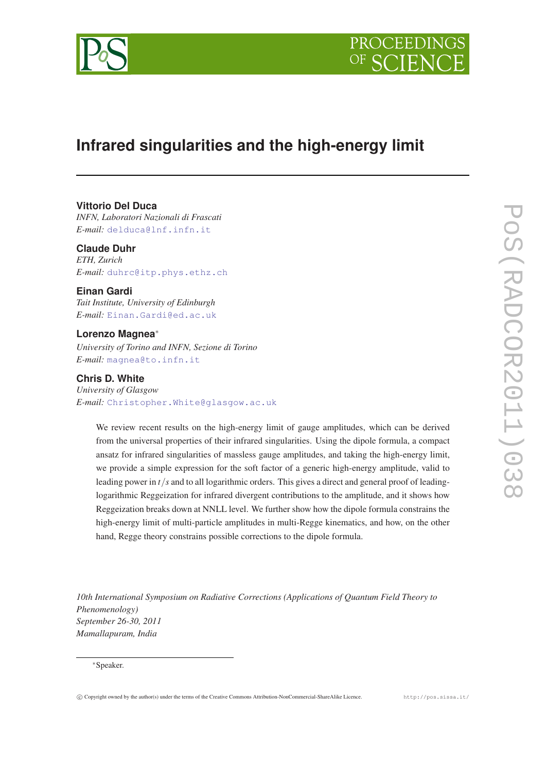



# **Infrared singularities and the high-energy limit**

# **Vittorio Del Duca**

*INFN, Laboratori Nazionali di Frascati E-mail:* [delduca@lnf.infn.it](mailto:delduca@lnf.infn.it)

# **Claude Duhr**

*ETH, Zurich E-mail:* [duhrc@itp.phys.ethz.ch](mailto:duhrc@itp.phys.ethz.ch)

# **Einan Gardi**

*Tait Institute, University of Edinburgh E-mail:* [Einan.Gardi@ed.ac.uk](mailto:Einan.Gardi@ed.ac.uk)

## **Lorenzo Magnea**<sup>∗</sup>

*University of Torino and INFN, Sezione di Torino E-mail:* [magnea@to.infn.it](mailto:magnea@to.infn.it)

# **Chris D. White**

*University of Glasgow E-mail:* [Christopher.White@glasgow.ac.uk](mailto:Christopher.White@glasgow.ac.uk)

We review recent results on the high-energy limit of gauge amplitudes, which can be derived from the universal properties of their infrared singularities. Using the dipole formula, a compact ansatz for infrared singularities of massless gauge amplitudes, and taking the high-energy limit, we provide a simple expression for the soft factor of a generic high-energy amplitude, valid to leading power in *t*/*s* and to all logarithmic orders. This gives a direct and general proof of leadinglogarithmic Reggeization for infrared divergent contributions to the amplitude, and it shows how Reggeization breaks down at NNLL level. We further show how the dipole formula constrains the high-energy limit of multi-particle amplitudes in multi-Regge kinematics, and how, on the other hand, Regge theory constrains possible corrections to the dipole formula.

*10th International Symposium on Radiative Corrections (Applications of Quantum Field Theory to Phenomenology) September 26-30, 2011 Mamallapuram, India*

# <sup>∗</sup>Speaker.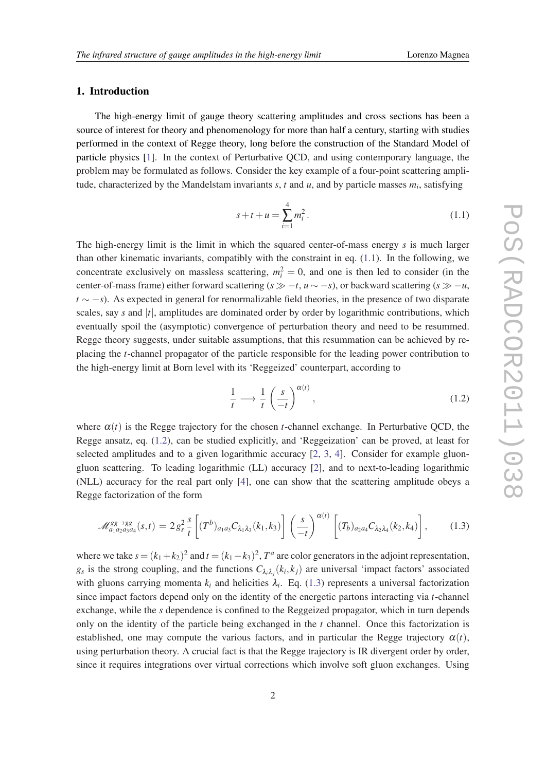# <span id="page-1-0"></span>1. Introduction

The high-energy limit of gauge theory scattering amplitudes and cross sections has been a source of interest for theory and phenomenology for more than half a century, starting with studies performed in the context of Regge theory, long before the construction of the Standard Model of particle physics [[1](#page-9-0)]. In the context of Perturbative QCD, and using contemporary language, the problem may be formulated as follows. Consider the key example of a four-point scattering amplitude, characterized by the Mandelstam invariants *s*, *t* and *u*, and by particle masses *m<sup>i</sup>* , satisfying

$$
s + t + u = \sum_{i=1}^{4} m_i^2.
$$
 (1.1)

The high-energy limit is the limit in which the squared center-of-mass energy *s* is much larger than other kinematic invariants, compatibly with the constraint in eq.  $(1.1)$ . In the following, we concentrate exclusively on massless scattering,  $m_i^2 = 0$ , and one is then led to consider (in the center-of-mass frame) either forward scattering  $(s \gg -t, u \sim -s)$ , or backward scattering  $(s \gg -u,$ *t* ∼ −*s*). As expected in general for renormalizable field theories, in the presence of two disparate scales, say *s* and |*t*|, amplitudes are dominated order by order by logarithmic contributions, which eventually spoil the (asymptotic) convergence of perturbation theory and need to be resummed. Regge theory suggests, under suitable assumptions, that this resummation can be achieved by replacing the *t*-channel propagator of the particle responsible for the leading power contribution to the high-energy limit at Born level with its 'Reggeized' counterpart, according to

$$
\frac{1}{t} \longrightarrow \frac{1}{t} \left( \frac{s}{-t} \right)^{\alpha(t)},\tag{1.2}
$$

where  $\alpha(t)$  is the Regge trajectory for the chosen *t*-channel exchange. In Perturbative QCD, the Regge ansatz, eq. (1.2), can be studied explicitly, and 'Reggeization' can be proved, at least for selected amplitudes and to a given logarithmic accuracy [\[2,](#page-9-0) [3,](#page-9-0) [4\]](#page-9-0). Consider for example gluongluon scattering. To leading logarithmic (LL) accuracy [\[2\]](#page-9-0), and to next-to-leading logarithmic (NLL) accuracy for the real part only [\[4\]](#page-9-0), one can show that the scattering amplitude obeys a Regge factorization of the form

$$
\mathcal{M}_{a_1a_2a_3a_4}^{gg \to gg}(s,t) = 2g_s^2 \frac{s}{t} \left[ (T^b)_{a_1a_3} C_{\lambda_1\lambda_3}(k_1,k_3) \right] \left( \frac{s}{-t} \right)^{\alpha(t)} \left[ (T_b)_{a_2a_4} C_{\lambda_2\lambda_4}(k_2,k_4) \right],\tag{1.3}
$$

where we take  $s = (k_1 + k_2)^2$  and  $t = (k_1 - k_3)^2$ ,  $T^a$  are color generators in the adjoint representation,  $g_s$  is the strong coupling, and the functions  $C_{\lambda_i\lambda_j}(k_i, k_j)$  are universal 'impact factors' associated with gluons carrying momenta  $k_i$  and helicities  $\lambda_i$ . Eq. (1.3) represents a universal factorization since impact factors depend only on the identity of the energetic partons interacting via *t*-channel exchange, while the *s* dependence is confined to the Reggeized propagator, which in turn depends only on the identity of the particle being exchanged in the *t* channel. Once this factorization is established, one may compute the various factors, and in particular the Regge trajectory  $\alpha(t)$ , using perturbation theory. A crucial fact is that the Regge trajectory is IR divergent order by order, since it requires integrations over virtual corrections which involve soft gluon exchanges. Using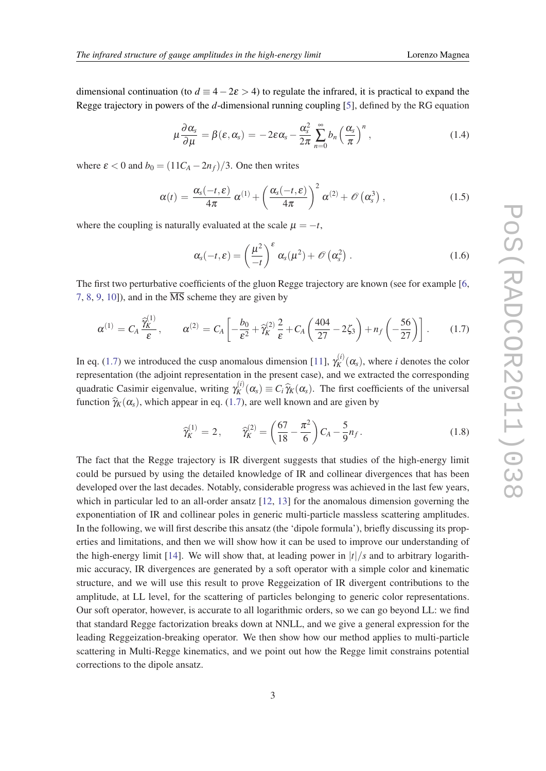<span id="page-2-0"></span>dimensional continuation (to  $d \equiv 4-2\varepsilon > 4$ ) to regulate the infrared, it is practical to expand the Regge trajectory in powers of the *d*-dimensional running coupling [[5](#page-9-0)], defined by the RG equation

$$
\mu \frac{\partial \alpha_s}{\partial \mu} = \beta(\varepsilon, \alpha_s) = -2\varepsilon \alpha_s - \frac{\alpha_s^2}{2\pi} \sum_{n=0}^{\infty} b_n \left(\frac{\alpha_s}{\pi}\right)^n, \qquad (1.4)
$$

where  $\varepsilon < 0$  and  $b_0 = (11C_A - 2n_f)/3$ . One then writes

$$
\alpha(t) = \frac{\alpha_s(-t,\varepsilon)}{4\pi} \alpha^{(1)} + \left(\frac{\alpha_s(-t,\varepsilon)}{4\pi}\right)^2 \alpha^{(2)} + \mathcal{O}\left(\alpha_s^3\right), \qquad (1.5)
$$

where the coupling is naturally evaluated at the scale  $\mu = -t$ ,

$$
\alpha_{s}(-t,\varepsilon)=\left(\frac{\mu^{2}}{-t}\right)^{\varepsilon}\alpha_{s}(\mu^{2})+\mathscr{O}\left(\alpha_{s}^{2}\right).
$$
\n(1.6)

The first two perturbative coefficients of the gluon Regge trajectory are known (see for example [[6](#page-9-0), [7,](#page-9-0) [8,](#page-9-0) [9,](#page-9-0) [10\]](#page-9-0)), and in the  $\overline{\text{MS}}$  scheme they are given by

$$
\alpha^{(1)} = C_A \frac{\hat{\gamma}_K^{(1)}}{\varepsilon}, \qquad \alpha^{(2)} = C_A \left[ -\frac{b_0}{\varepsilon^2} + \hat{\gamma}_K^{(2)} \frac{2}{\varepsilon} + C_A \left( \frac{404}{27} - 2\zeta_3 \right) + n_f \left( -\frac{56}{27} \right) \right]. \tag{1.7}
$$

In eq. (1.7) we introduced the cusp anomalous dimension [\[11\]](#page-9-0),  $\gamma_K^{(i)}$  $\chi_K^{(i)}(\alpha_s)$ , where *i* denotes the color representation (the adjoint representation in the present case), and we extracted the corresponding quadratic Casimir eigenvalue, writing  $\gamma_K^{(i)}$  $K_K^{(t)}(\alpha_s) \equiv C_i \hat{\gamma}_K(\alpha_s)$ . The first coefficients of the universal function  $\hat{\gamma}_K(\alpha_s)$ , which appear in eq. (1.7), are well known and are given by

$$
\widehat{\gamma}_K^{(1)} = 2, \qquad \widehat{\gamma}_K^{(2)} = \left(\frac{67}{18} - \frac{\pi^2}{6}\right) C_A - \frac{5}{9} n_f. \tag{1.8}
$$

The fact that the Regge trajectory is IR divergent suggests that studies of the high-energy limit could be pursued by using the detailed knowledge of IR and collinear divergences that has been developed over the last decades. Notably, considerable progress was achieved in the last few years, which in particular led to an all-order ansatz  $[12, 13]$  $[12, 13]$  $[12, 13]$  $[12, 13]$  for the anomalous dimension governing the exponentiation of IR and collinear poles in generic multi-particle massless scattering amplitudes. In the following, we will first describe this ansatz (the 'dipole formula'), briefly discussing its properties and limitations, and then we will show how it can be used to improve our understanding of the high-energy limit [\[14](#page-10-0)]. We will show that, at leading power in  $|t|/s$  and to arbitrary logarithmic accuracy, IR divergences are generated by a soft operator with a simple color and kinematic structure, and we will use this result to prove Reggeization of IR divergent contributions to the amplitude, at LL level, for the scattering of particles belonging to generic color representations. Our soft operator, however, is accurate to all logarithmic orders, so we can go beyond LL: we find that standard Regge factorization breaks down at NNLL, and we give a general expression for the leading Reggeization-breaking operator. We then show how our method applies to multi-particle scattering in Multi-Regge kinematics, and we point out how the Regge limit constrains potential corrections to the dipole ansatz.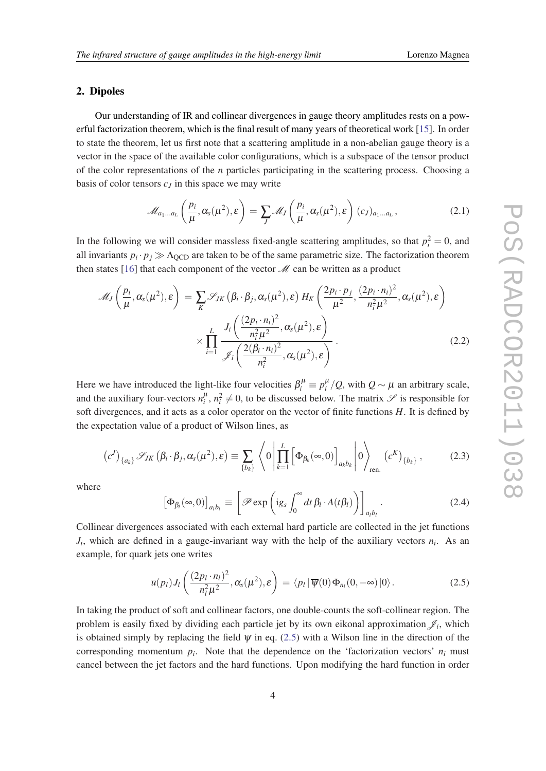# <span id="page-3-0"></span>2. Dipoles

Our understanding of IR and collinear divergences in gauge theory amplitudes rests on a powerful factorization theorem, which is the final result of many years of theoretical work [\[15](#page-10-0)]. In order to state the theorem, let us first note that a scattering amplitude in a non-abelian gauge theory is a vector in the space of the available color configurations, which is a subspace of the tensor product of the color representations of the *n* particles participating in the scattering process. Choosing a basis of color tensors *c<sup>J</sup>* in this space we may write

$$
\mathscr{M}_{a_1\ldots a_L}\left(\frac{p_i}{\mu},\alpha_s(\mu^2),\varepsilon\right)=\sum_J \mathscr{M}_J\left(\frac{p_i}{\mu},\alpha_s(\mu^2),\varepsilon\right)(c_J)_{a_1\ldots a_L},\qquad(2.1)
$$

In the following we will consider massless fixed-angle scattering amplitudes, so that  $p_i^2 = 0$ , and all invariants  $p_i \cdot p_j \gg \Lambda_{\text{QCD}}$  are taken to be of the same parametric size. The factorization theorem then states [\[16](#page-10-0)] that each component of the vector  $\mathcal{M}$  can be written as a product

$$
\mathcal{M}_{J}\left(\frac{p_{i}}{\mu},\alpha_{s}(\mu^{2}),\varepsilon\right) = \sum_{K} \mathcal{S}_{JK}\left(\beta_{i}\cdot\beta_{j},\alpha_{s}(\mu^{2}),\varepsilon\right)H_{K}\left(\frac{2p_{i}\cdot p_{j}}{\mu^{2}},\frac{(2p_{i}\cdot n_{i})^{2}}{n_{i}^{2}\mu^{2}},\alpha_{s}(\mu^{2}),\varepsilon\right) \times \prod_{i=1}^{L} \frac{J_{i}\left(\frac{(2p_{i}\cdot n_{i})^{2}}{n_{i}^{2}\mu^{2}},\alpha_{s}(\mu^{2}),\varepsilon\right)}{\mathcal{J}_{i}\left(\frac{2(\beta_{i}\cdot n_{i})^{2}}{n_{i}^{2}},\alpha_{s}(\mu^{2}),\varepsilon\right)}.
$$
\n(2.2)

Here we have introduced the light-like four velocities  $\beta_i^{\mu} \equiv p_i^{\mu}/Q$ , with  $Q \sim \mu$  an arbitrary scale, and the auxiliary four-vectors  $n_i^{\mu}$ ,  $n_i^2 \neq 0$ , to be discussed below. The matrix  $\mathscr S$  is responsible for soft divergences, and it acts as a color operator on the vector of finite functions *H*. It is defined by the expectation value of a product of Wilson lines, as

$$
(c^{J})_{\{a_{k}\}}\mathscr{S}_{JK}(\beta_{i}\cdot\beta_{j},\alpha_{s}(\mu^{2}),\varepsilon)\equiv\sum_{\{b_{k}\}}\left\langle 0\left|\prod_{k=1}^{L}\left[\Phi_{\beta_{k}}(\infty,0)\right]_{a_{k}b_{k}}\right|0\right\rangle_{\text{ren.}}(c^{K})_{\{b_{k}\}},\qquad(2.3)
$$

where

$$
\left[\Phi_{\beta_l}(\infty,0)\right]_{a_l b_l} \equiv \left[\mathscr{P} \exp\left(\mathrm{i}g_s \int_0^\infty dt \,\beta_l \cdot A(t\beta_l)\right)\right]_{a_l b_l}.\tag{2.4}
$$

Collinear divergences associated with each external hard particle are collected in the jet functions  $J_i$ , which are defined in a gauge-invariant way with the help of the auxiliary vectors  $n_i$ . As an example, for quark jets one writes

$$
\overline{u}(p_l)J_l\left(\frac{(2p_l\cdot n_l)^2}{n_l^2\mu^2},\alpha_s(\mu^2),\varepsilon\right)=\langle p_l\,|\,\overline{\psi}(0)\,\Phi_{n_l}(0,-\infty)\,|0\rangle\,.
$$
\n(2.5)

In taking the product of soft and collinear factors, one double-counts the soft-collinear region. The problem is easily fixed by dividing each particle jet by its own eikonal approximation  $\mathcal{J}_i$ , which is obtained simply by replacing the field  $\psi$  in eq. (2.5) with a Wilson line in the direction of the corresponding momentum  $p_i$ . Note that the dependence on the 'factorization vectors'  $n_i$  must cancel between the jet factors and the hard functions. Upon modifying the hard function in order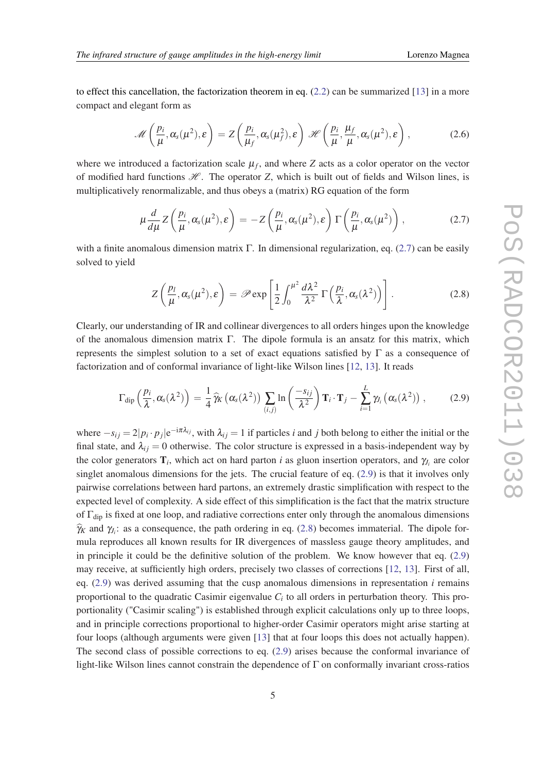<span id="page-4-0"></span>to effect this cancellation, the factorization theorem in eq.  $(2.2)$  can be summarized [\[13](#page-9-0)] in a more compact and elegant form as

$$
\mathscr{M}\left(\frac{p_i}{\mu},\alpha_s(\mu^2),\varepsilon\right) = Z\left(\frac{p_i}{\mu_f},\alpha_s(\mu_f^2),\varepsilon\right) \mathscr{H}\left(\frac{p_i}{\mu},\frac{\mu_f}{\mu},\alpha_s(\mu^2),\varepsilon\right),\qquad(2.6)
$$

where we introduced a factorization scale  $\mu_f$ , and where  $Z$  acts as a color operator on the vector of modified hard functions  $H$ . The operator *Z*, which is built out of fields and Wilson lines, is multiplicatively renormalizable, and thus obeys a (matrix) RG equation of the form

$$
\mu \frac{d}{d\mu} Z\left(\frac{p_i}{\mu}, \alpha_s(\mu^2), \varepsilon\right) = -Z\left(\frac{p_i}{\mu}, \alpha_s(\mu^2), \varepsilon\right) \Gamma\left(\frac{p_i}{\mu}, \alpha_s(\mu^2)\right),\tag{2.7}
$$

with a finite anomalous dimension matrix Γ. In dimensional regularization, eq. (2.7) can be easily solved to yield

$$
Z\left(\frac{p_l}{\mu},\alpha_s(\mu^2),\varepsilon\right) = \mathscr{P} \exp\left[\frac{1}{2}\int_0^{\mu^2}\frac{d\lambda^2}{\lambda^2}\,\Gamma\left(\frac{p_i}{\lambda},\alpha_s(\lambda^2)\right)\right].\tag{2.8}
$$

Clearly, our understanding of IR and collinear divergences to all orders hinges upon the knowledge of the anomalous dimension matrix Γ. The dipole formula is an ansatz for this matrix, which represents the simplest solution to a set of exact equations satisfied by  $\Gamma$  as a consequence of factorization and of conformal invariance of light-like Wilson lines [[12,](#page-9-0) [13\]](#page-9-0). It reads

$$
\Gamma_{\text{dip}}\left(\frac{p_i}{\lambda},\alpha_s(\lambda^2)\right) = \frac{1}{4}\,\widehat{\gamma}_K\left(\alpha_s(\lambda^2)\right)\,\sum_{(i,j)}\ln\left(\frac{-s_{ij}}{\lambda^2}\right)\mathbf{T}_i\cdot\mathbf{T}_j - \sum_{i=1}^L\gamma_{J_i}\left(\alpha_s(\lambda^2)\right)\,,\tag{2.9}
$$

where  $-s_{ij} = 2|p_i \cdot p_j|e^{-i\pi \lambda_{ij}}$ , with  $\lambda_{ij} = 1$  if particles *i* and *j* both belong to either the initial or the final state, and  $\lambda_{ij} = 0$  otherwise. The color structure is expressed in a basis-independent way by the color generators  $\mathbf{T}_i$ , which act on hard parton *i* as gluon insertion operators, and  $\gamma_{J_i}$  are color singlet anomalous dimensions for the jets. The crucial feature of eq. (2.9) is that it involves only pairwise correlations between hard partons, an extremely drastic simplification with respect to the expected level of complexity. A side effect of this simplification is the fact that the matrix structure of  $\Gamma_{\text{dip}}$  is fixed at one loop, and radiative corrections enter only through the anomalous dimensions  $\hat{\gamma}_k$  and  $\gamma_j$ : as a consequence, the path ordering in eq. (2.8) becomes immaterial. The dipole formula reproduces all known results for IR divergences of massless gauge theory amplitudes, and in principle it could be the definitive solution of the problem. We know however that eq. (2.9) may receive, at sufficiently high orders, precisely two classes of corrections [\[12](#page-9-0), [13\]](#page-9-0). First of all, eq.  $(2.9)$  was derived assuming that the cusp anomalous dimensions in representation  $i$  remains proportional to the quadratic Casimir eigenvalue *C<sup>i</sup>* to all orders in perturbation theory. This proportionality ("Casimir scaling") is established through explicit calculations only up to three loops, and in principle corrections proportional to higher-order Casimir operators might arise starting at four loops (although arguments were given [\[13](#page-9-0)] that at four loops this does not actually happen). The second class of possible corrections to eq. (2.9) arises because the conformal invariance of light-like Wilson lines cannot constrain the dependence of Γ on conformally invariant cross-ratios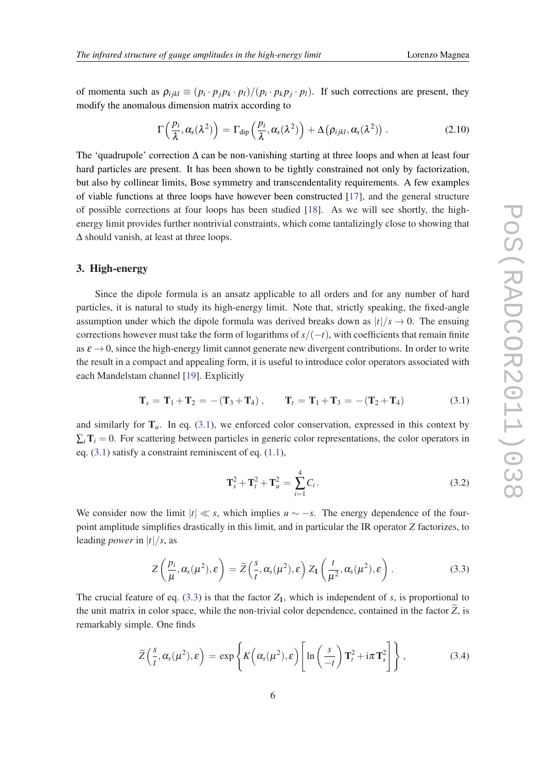<span id="page-5-0"></span>of momenta such as  $\rho_{ijkl} \equiv (p_i \cdot p_j p_k \cdot p_l)/(p_i \cdot p_k p_j \cdot p_l)$ . If such corrections are present, they modify the anomalous dimension matrix according to

$$
\Gamma\left(\frac{p_i}{\lambda},\alpha_s(\lambda^2)\right) = \Gamma_{\text{dip}}\left(\frac{p_i}{\lambda},\alpha_s(\lambda^2)\right) + \Delta\left(\rho_{ijkl},\alpha_s(\lambda^2)\right). \tag{2.10}
$$

The 'quadrupole' correction  $\Delta$  can be non-vanishing starting at three loops and when at least four hard particles are present. It has been shown to be tightly constrained not only by factorization, but also by collinear limits, Bose symmetry and transcendentality requirements. A few examples of viable functions at three loops have however been constructed [[17\]](#page-10-0), and the general structure of possible corrections at four loops has been studied [[18\]](#page-10-0). As we will see shortly, the highenergy limit provides further nontrivial constraints, which come tantalizingly close to showing that ∆ should vanish, at least at three loops.

# 3. High-energy

Since the dipole formula is an ansatz applicable to all orders and for any number of hard particles, it is natural to study its high-energy limit. Note that, strictly speaking, the fixed-angle assumption under which the dipole formula was derived breaks down as  $|t|/s \to 0$ . The ensuing corrections however must take the form of logarithms of *s*/(−*t*), with coefficients that remain finite as  $\varepsilon \to 0$ , since the high-energy limit cannot generate new divergent contributions. In order to write the result in a compact and appealing form, it is useful to introduce color operators associated with each Mandelstam channel [[19\]](#page-10-0). Explicitly

$$
\mathbf{T}_s = \mathbf{T}_1 + \mathbf{T}_2 = -(\mathbf{T}_3 + \mathbf{T}_4), \qquad \mathbf{T}_t = \mathbf{T}_1 + \mathbf{T}_3 = -(\mathbf{T}_2 + \mathbf{T}_4)
$$
(3.1)

and similarly for  $T_u$ . In eq. (3.1), we enforced color conservation, expressed in this context by  $\Sigma_i$ **T**<sub>*i*</sub> = 0. For scattering between particles in generic color representations, the color operators in eq.  $(3.1)$  satisfy a constraint reminiscent of eq.  $(1.1)$ ,

$$
\mathbf{T}_s^2 + \mathbf{T}_t^2 + \mathbf{T}_u^2 = \sum_{i=1}^4 C_i.
$$
 (3.2)

We consider now the limit  $|t| \ll s$ , which implies  $u \sim -s$ . The energy dependence of the fourpoint amplitude simplifies drastically in this limit, and in particular the IR operator *Z* factorizes, to leading *power* in |*t*|/*s*, as

$$
Z\left(\frac{p_i}{\mu},\alpha_s(\mu^2),\varepsilon\right) = \widetilde{Z}\left(\frac{s}{t},\alpha_s(\mu^2),\varepsilon\right) Z_1\left(\frac{t}{\mu^2},\alpha_s(\mu^2),\varepsilon\right).
$$
 (3.3)

The crucial feature of eq. (3.3) is that the factor  $Z_1$ , which is independent of *s*, is proportional to the unit matrix in color space, while the non-trivial color dependence, contained in the factor  $\widetilde{Z}$ , is remarkably simple. One finds

$$
\widetilde{Z}\left(\frac{s}{t},\alpha_s(\mu^2),\varepsilon\right) = \exp\left\{K\left(\alpha_s(\mu^2),\varepsilon\right)\left[\ln\left(\frac{s}{-t}\right)\mathbf{T}_t^2 + i\pi\mathbf{T}_s^2\right]\right\},\tag{3.4}
$$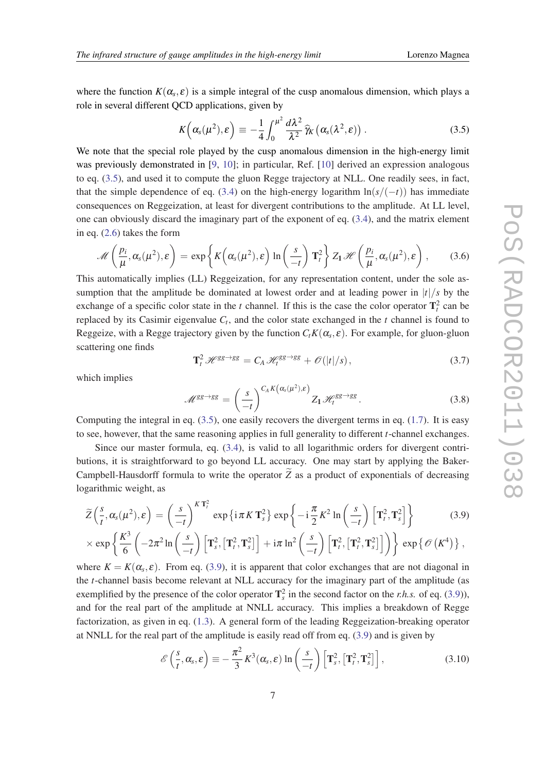where the function  $K(\alpha_s, \varepsilon)$  is a simple integral of the cusp anomalous dimension, which plays a role in several different QCD applications, given by

$$
K\left(\alpha_s(\mu^2), \varepsilon\right) \equiv -\frac{1}{4} \int_0^{\mu^2} \frac{d\lambda^2}{\lambda^2} \, \widehat{\gamma}_K\left(\alpha_s(\lambda^2, \varepsilon)\right). \tag{3.5}
$$

We note that the special role played by the cusp anomalous dimension in the high-energy limit was previously demonstrated in [\[9,](#page-9-0) [10\]](#page-9-0); in particular, Ref. [[10\]](#page-9-0) derived an expression analogous to eq. (3.5), and used it to compute the gluon Regge trajectory at NLL. One readily sees, in fact, that the simple dependence of eq. ([3.4](#page-5-0)) on the high-energy logarithm  $\ln(s/(-t))$  has immediate consequences on Reggeization, at least for divergent contributions to the amplitude. At LL level, one can obviously discard the imaginary part of the exponent of eq. ([3.4](#page-5-0)), and the matrix element in eq. ([2.6\)](#page-4-0) takes the form

$$
\mathscr{M}\left(\frac{p_i}{\mu},\alpha_s(\mu^2),\varepsilon\right) = \exp\left\{K\left(\alpha_s(\mu^2),\varepsilon\right)\ln\left(\frac{s}{-t}\right)\mathbf{T}_t^2\right\}Z_1\,\mathscr{H}\left(\frac{p_i}{\mu},\alpha_s(\mu^2),\varepsilon\right),\qquad(3.6)
$$

This automatically implies (LL) Reggeization, for any representation content, under the sole assumption that the amplitude be dominated at lowest order and at leading power in  $|t|/s$  by the exchange of a specific color state in the *t* channel. If this is the case the color operator  $T_t^2$  can be replaced by its Casimir eigenvalue *C<sup>t</sup>* , and the color state exchanged in the *t* channel is found to Reggeize, with a Regge trajectory given by the function  $C_t K(\alpha_s, \varepsilon)$ . For example, for gluon-gluon scattering one finds

$$
\mathbf{T}_{t}^{2} \mathscr{H}^{\text{gg}\to\text{gg}} = C_{A} \mathscr{H}_{t}^{\text{gg}\to\text{gg}} + \mathscr{O}(|t|/s), \qquad (3.7)
$$

which implies

$$
\mathcal{M}^{gg \to gg} = \left(\frac{s}{-t}\right)^{C_A K\left(\alpha_s(\mu^2), \varepsilon\right)} Z_1 \mathcal{H}_t^{gg \to gg}.
$$
 (3.8)

Computing the integral in eq.  $(3.5)$ , one easily recovers the divergent terms in eq.  $(1.7)$ . It is easy to see, however, that the same reasoning applies in full generality to different *t*-channel exchanges.

Since our master formula, eq. [\(3.4](#page-5-0)), is valid to all logarithmic orders for divergent contributions, it is straightforward to go beyond LL accuracy. One may start by applying the Baker-Campbell-Hausdorff formula to write the operator  $\widetilde{Z}$  as a product of exponentials of decreasing logarithmic weight, as

$$
\widetilde{Z}\left(\frac{s}{t},\alpha_s(\mu^2),\varepsilon\right) = \left(\frac{s}{-t}\right)^{K\,\mathbf{T}_t^2} \exp\left\{i\,\pi\,K\,\mathbf{T}_s^2\right\} \exp\left\{-i\,\frac{\pi}{2}\,K^2\ln\left(\frac{s}{-t}\right)\,\left[\mathbf{T}_t^2,\mathbf{T}_s^2\right]\right\} \tag{3.9}
$$

$$
\times \exp\left\{\frac{K^3}{6}\left(-2\pi^2 \ln\left(\frac{s}{-t}\right)\left[\mathbf{T}_s^2, \left[\mathbf{T}_t^2, \mathbf{T}_s^2\right]\right] + i\pi \ln^2\left(\frac{s}{-t}\right)\left[\mathbf{T}_t^2, \left[\mathbf{T}_t^2, \mathbf{T}_s^2\right]\right]\right)\right\} \exp\left\{\mathscr{O}\left(K^4\right)\right\},\right\}
$$

where  $K = K(\alpha_s, \varepsilon)$ . From eq. (3.9), it is apparent that color exchanges that are not diagonal in the *t*-channel basis become relevant at NLL accuracy for the imaginary part of the amplitude (as exemplified by the presence of the color operator  $\mathbf{T}_s^2$  in the second factor on the *r.h.s.* of eq. (3.9)), and for the real part of the amplitude at NNLL accuracy. This implies a breakdown of Regge factorization, as given in eq. ([1.3](#page-1-0)). A general form of the leading Reggeization-breaking operator at NNLL for the real part of the amplitude is easily read off from eq. (3.9) and is given by

$$
\mathscr{E}\left(\frac{s}{t},\alpha_s,\varepsilon\right) \equiv -\frac{\pi^2}{3}K^3(\alpha_s,\varepsilon)\ln\left(\frac{s}{-t}\right)\left[\mathbf{T}_s^2,\left[\mathbf{T}_t^2,\mathbf{T}_s^2\right]\right],\tag{3.10}
$$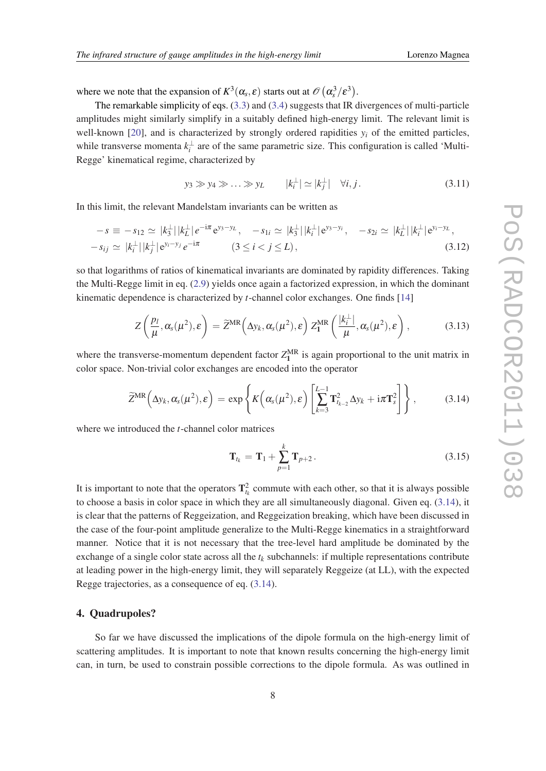where we note that the expansion of  $K^3(\alpha_s, \varepsilon)$  starts out at  $\mathscr{O}(\alpha_s^3/\varepsilon^3)$ .

The remarkable simplicity of eqs. [\(3.3\)](#page-5-0) and [\(3.4](#page-5-0)) suggests that IR divergences of multi-particle amplitudes might similarly simplify in a suitably defined high-energy limit. The relevant limit is well-known [[20\]](#page-10-0), and is characterized by strongly ordered rapidities  $y_i$  of the emitted particles, while transverse momenta  $k_i^{\perp}$  are of the same parametric size. This configuration is called 'Multi-Regge' kinematical regime, characterized by

$$
y_3 \gg y_4 \gg \dots \gg y_L
$$
  $|k_i^{\perp}| \simeq |k_j^{\perp}| \quad \forall i, j.$  (3.11)

In this limit, the relevant Mandelstam invariants can be written as

$$
-s \equiv -s_{12} \simeq |k_3^{\perp}| |k_L^{\perp}| e^{-i\pi} e^{y_3 - y_L}, \quad -s_{1i} \simeq |k_3^{\perp}| |k_i^{\perp}| e^{y_3 - y_i}, \quad -s_{2i} \simeq |k_L^{\perp}| |k_i^{\perp}| e^{y_i - y_L},
$$
  

$$
-s_{ij} \simeq |k_i^{\perp}| |k_j^{\perp}| e^{y_i - y_j} e^{-i\pi} \qquad (3 \le i < j \le L),
$$
 (3.12)

so that logarithms of ratios of kinematical invariants are dominated by rapidity differences. Taking the Multi-Regge limit in eq. [\(2.9\)](#page-4-0) yields once again a factorized expression, in which the dominant kinematic dependence is characterized by *t*-channel color exchanges. One finds [[14\]](#page-10-0)

$$
Z\left(\frac{p_l}{\mu},\alpha_s(\mu^2),\varepsilon\right) = \widetilde{Z}^{MR}\left(\Delta y_k,\alpha_s(\mu^2),\varepsilon\right)Z_1^{MR}\left(\frac{|k_i^{\perp}|}{\mu},\alpha_s(\mu^2),\varepsilon\right),\qquad(3.13)
$$

where the transverse-momentum dependent factor  $Z_1^{\text{MR}}$  is again proportional to the unit matrix in color space. Non-trivial color exchanges are encoded into the operator

$$
\widetilde{Z}^{MR}\left(\Delta y_k, \alpha_s(\mu^2), \varepsilon\right) = \exp\left\{K\left(\alpha_s(\mu^2), \varepsilon\right) \left[\sum_{k=3}^{L-1} \mathbf{T}_{t_{k-2}}^2 \Delta y_k + i\pi \mathbf{T}_s^2\right]\right\},\tag{3.14}
$$

where we introduced the *t*-channel color matrices

$$
\mathbf{T}_{t_k} = \mathbf{T}_1 + \sum_{p=1}^{k} \mathbf{T}_{p+2}.
$$
 (3.15)

It is important to note that the operators  $\mathbf{T}_{t_k}^2$  commute with each other, so that it is always possible to choose a basis in color space in which they are all simultaneously diagonal. Given eq. (3.14), it is clear that the patterns of Reggeization, and Reggeization breaking, which have been discussed in the case of the four-point amplitude generalize to the Multi-Regge kinematics in a straightforward manner. Notice that it is not necessary that the tree-level hard amplitude be dominated by the exchange of a single color state across all the  $t_k$  subchannels: if multiple representations contribute at leading power in the high-energy limit, they will separately Reggeize (at LL), with the expected Regge trajectories, as a consequence of eq. (3.14).

### 4. Quadrupoles?

So far we have discussed the implications of the dipole formula on the high-energy limit of scattering amplitudes. It is important to note that known results concerning the high-energy limit can, in turn, be used to constrain possible corrections to the dipole formula. As was outlined in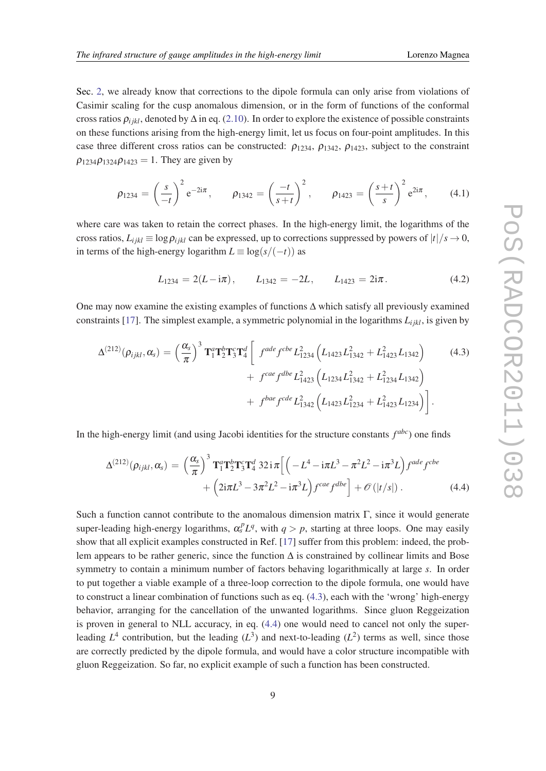Sec. [2,](#page-3-0) we already know that corrections to the dipole formula can only arise from violations of Casimir scaling for the cusp anomalous dimension, or in the form of functions of the conformal cross ratios  $\rho_{ijkl}$ , denoted by  $\Delta$  in eq. [\(2.10\)](#page-5-0). In order to explore the existence of possible constraints on these functions arising from the high-energy limit, let us focus on four-point amplitudes. In this case three different cross ratios can be constructed:  $\rho_{1234}$ ,  $\rho_{1342}$ ,  $\rho_{1423}$ , subject to the constraint  $\rho_{1234}\rho_{1324}\rho_{1423} = 1$ . They are given by

$$
\rho_{1234} = \left(\frac{s}{-t}\right)^2 e^{-2i\pi}, \qquad \rho_{1342} = \left(\frac{-t}{s+t}\right)^2, \qquad \rho_{1423} = \left(\frac{s+t}{s}\right)^2 e^{2i\pi}, \qquad (4.1)
$$

where care was taken to retain the correct phases. In the high-energy limit, the logarithms of the cross ratios,  $L_{ijkl} \equiv \log \rho_{ijkl}$  can be expressed, up to corrections suppressed by powers of  $|t|/s \to 0$ , in terms of the high-energy logarithm  $L \equiv \log(s/(-t))$  as

$$
L_{1234} = 2(L - i\pi), \qquad L_{1342} = -2L, \qquad L_{1423} = 2i\pi. \tag{4.2}
$$

One may now examine the existing examples of functions ∆ which satisfy all previously examined constraints [[17\]](#page-10-0). The simplest example, a symmetric polynomial in the logarithms  $L_{ijkl}$ , is given by

$$
\Delta^{(212)}(\rho_{ijkl}, \alpha_s) = \left(\frac{\alpha_s}{\pi}\right)^3 \mathbf{T}_1^a \mathbf{T}_2^b \mathbf{T}_3^c \mathbf{T}_4^d \left[ f^{ade} f^{cbe} L_{1234}^2 \left( L_{1423} L_{1342}^2 + L_{1423}^2 L_{1342} \right) + f^{cae} f^{dbe} L_{1423}^2 \left( L_{1234} L_{1342}^2 + L_{1234}^2 L_{1342} \right) + f^{bae} f^{cde} L_{1342}^2 \left( L_{1423} L_{1234}^2 + L_{1423}^2 L_{1234} \right) \right].
$$
\n(4.3)

In the high-energy limit (and using Jacobi identities for the structure constants *f abc*) one finds

$$
\Delta^{(212)}(\rho_{ijkl}, \alpha_s) = \left(\frac{\alpha_s}{\pi}\right)^3 \mathbf{T}_1^a \mathbf{T}_2^b \mathbf{T}_3^c \mathbf{T}_4^d \, 32 \, \mathrm{i} \, \pi \left[ \left( -L^4 - \mathrm{i} \pi L^3 - \pi^2 L^2 - \mathrm{i} \pi^3 L \right) f^{ade} f^{cbe} + \left( 2 \mathrm{i} \pi L^3 - 3 \pi^2 L^2 - \mathrm{i} \pi^3 L \right) f^{cae} f^{abe} \right] + \mathcal{O}\left( |t/s| \right). \tag{4.4}
$$

Such a function cannot contribute to the anomalous dimension matrix  $\Gamma$ , since it would generate super-leading high-energy logarithms,  $\alpha_s^p L^q$ , with  $q > p$ , starting at three loops. One may easily show that all explicit examples constructed in Ref. [\[17](#page-10-0)] suffer from this problem: indeed, the problem appears to be rather generic, since the function ∆ is constrained by collinear limits and Bose symmetry to contain a minimum number of factors behaving logarithmically at large *s*. In order to put together a viable example of a three-loop correction to the dipole formula, one would have to construct a linear combination of functions such as eq. (4.3), each with the 'wrong' high-energy behavior, arranging for the cancellation of the unwanted logarithms. Since gluon Reggeization is proven in general to NLL accuracy, in eq. (4.4) one would need to cancel not only the superleading  $L^4$  contribution, but the leading  $(L^3)$  and next-to-leading  $(L^2)$  terms as well, since those are correctly predicted by the dipole formula, and would have a color structure incompatible with gluon Reggeization. So far, no explicit example of such a function has been constructed.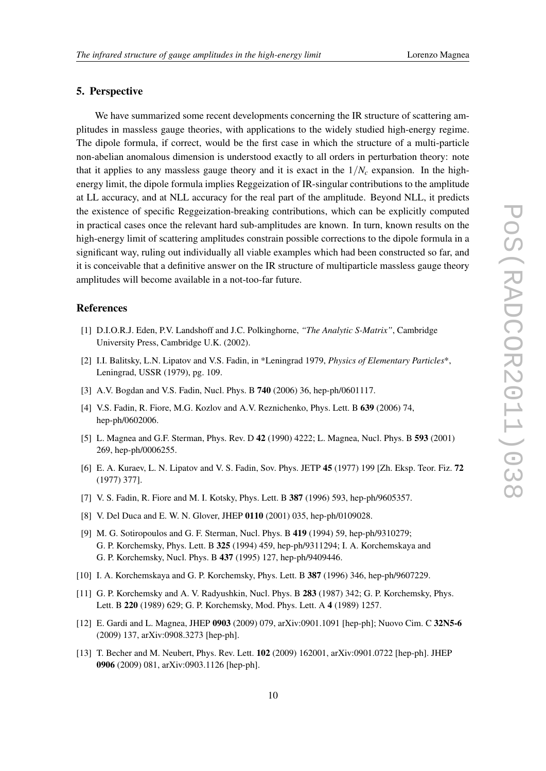# <span id="page-9-0"></span>5. Perspective

We have summarized some recent developments concerning the IR structure of scattering amplitudes in massless gauge theories, with applications to the widely studied high-energy regime. The dipole formula, if correct, would be the first case in which the structure of a multi-particle non-abelian anomalous dimension is understood exactly to all orders in perturbation theory: note that it applies to any massless gauge theory and it is exact in the  $1/N_c$  expansion. In the highenergy limit, the dipole formula implies Reggeization of IR-singular contributions to the amplitude at LL accuracy, and at NLL accuracy for the real part of the amplitude. Beyond NLL, it predicts the existence of specific Reggeization-breaking contributions, which can be explicitly computed in practical cases once the relevant hard sub-amplitudes are known. In turn, known results on the high-energy limit of scattering amplitudes constrain possible corrections to the dipole formula in a significant way, ruling out individually all viable examples which had been constructed so far, and it is conceivable that a definitive answer on the IR structure of multiparticle massless gauge theory amplitudes will become available in a not-too-far future.

# **References**

- [1] D.I.O.R.J. Eden, P.V. Landshoff and J.C. Polkinghorne, *"The Analytic S-Matrix"*, Cambridge University Press, Cambridge U.K. (2002).
- [2] I.I. Balitsky, L.N. Lipatov and V.S. Fadin, in \*Leningrad 1979, *Physics of Elementary Particles*\*, Leningrad, USSR (1979), pg. 109.
- [3] A.V. Bogdan and V.S. Fadin, Nucl. Phys. B 740 (2006) 36, hep-ph/0601117.
- [4] V.S. Fadin, R. Fiore, M.G. Kozlov and A.V. Reznichenko, Phys. Lett. B 639 (2006) 74, hep-ph/0602006.
- [5] L. Magnea and G.F. Sterman, Phys. Rev. D 42 (1990) 4222; L. Magnea, Nucl. Phys. B 593 (2001) 269, hep-ph/0006255.
- [6] E. A. Kuraev, L. N. Lipatov and V. S. Fadin, Sov. Phys. JETP 45 (1977) 199 [Zh. Eksp. Teor. Fiz. 72 (1977) 377].
- [7] V. S. Fadin, R. Fiore and M. I. Kotsky, Phys. Lett. B 387 (1996) 593, hep-ph/9605357.
- [8] V. Del Duca and E. W. N. Glover, JHEP 0110 (2001) 035, hep-ph/0109028.
- [9] M. G. Sotiropoulos and G. F. Sterman, Nucl. Phys. B 419 (1994) 59, hep-ph/9310279; G. P. Korchemsky, Phys. Lett. B 325 (1994) 459, hep-ph/9311294; I. A. Korchemskaya and G. P. Korchemsky, Nucl. Phys. B 437 (1995) 127, hep-ph/9409446.
- [10] I. A. Korchemskaya and G. P. Korchemsky, Phys. Lett. B 387 (1996) 346, hep-ph/9607229.
- [11] G. P. Korchemsky and A. V. Radyushkin, Nucl. Phys. B 283 (1987) 342; G. P. Korchemsky, Phys. Lett. B 220 (1989) 629; G. P. Korchemsky, Mod. Phys. Lett. A 4 (1989) 1257.
- [12] E. Gardi and L. Magnea, JHEP 0903 (2009) 079, arXiv:0901.1091 [hep-ph]; Nuovo Cim. C 32N5-6 (2009) 137, arXiv:0908.3273 [hep-ph].
- [13] T. Becher and M. Neubert, Phys. Rev. Lett. 102 (2009) 162001, arXiv:0901.0722 [hep-ph]. JHEP 0906 (2009) 081, arXiv:0903.1126 [hep-ph].